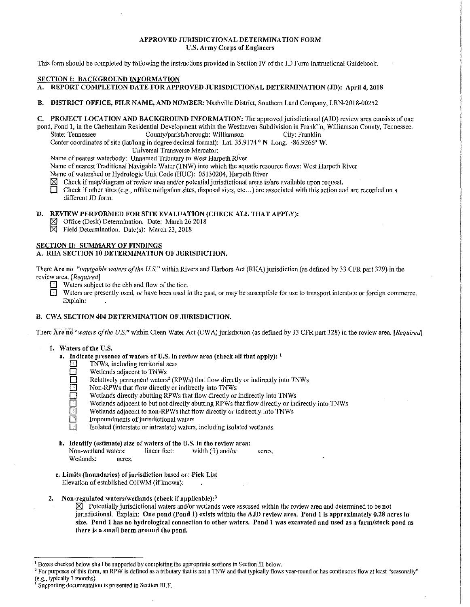# APPROVED JURISDICTIONAL DETERMINATION FORM U.S. Army Corps of Engineers

This form should be completed by following the instructions provided in Section IV of the JD Form Instructional Guidebook.

### SECTION I: BACKGROUND INFORMATION

- A. REPORT COMPLETION DATE FOR APPROVED JURISDICTIONAL DETERMINATION (JD): April 4, 2018
- B. DISTRICT OFFICE, FILE NAME, AND NUMBER: Nashville District, Southern Land Company, LRN-2018-00252
- C. PROJECT LOCATION AND BACKGROUND INFORMATION: The approved jurisdictional (AJD) review area consists of one pond, Pond 1, in the Cheltenham Residential Development within the Westhaven Subdivision in Franklin, Williamson County, Tennessee.
	- State: Tennessee County/parish/borough: Williamson City: Franklin

Center coordinates of site (lat/long in degree decimal format): Lat. 35.9174 ° N Long. -86.9266° W.

Universal Transverse Mercator:

Name of nearest waterbody: Unnamed Tributary to West Harpeth RiVer

- Name of nearest Traditional Navigable Water (TNW) into which the aquatic resource flows: West Harpeth River
- Name of watershed or Hydrologic Unit Code (HUC): 05130204, Harpeth River
- $\boxtimes$  Check if map/diagram of review area and/or potential jurisdictional areas is/are available upon request.<br>
The Check if other sites (e.g., offsite mitigation sites, disposal sites, etc...) are associated with this ac
- Check if other sites (e.g., offsite mitigation sites, disposal sites, etc...) are associated with this action and are recorded on a different JD form.

### D. REVIEW PERFORMED FOR SITE EVALUATION (CHECK ALL THAT APPLY):

- $\boxtimes$  Office (Desk) Determination. Date: March 26 2018
- $\boxtimes$  Field Determination. Date(s): March 23, 2018

# SECTION II: SUMMARY OF FINDINGS

# A. RHA SECTION IO DETERMINATION OF JURISDICTION.

There Are no *"navigable waters of the US."* within Rivers and Harbors Act (RHA) jurisdiction (as defined by 33 CFR part 329) in the review area. *[Required]* 

- Waters subject to the ebb and flow of the tide.<br>Waters are presently used, or have been used if
- Waters are presently used, or have been used in the past, or may be susceptible for use to transport interstate or foreign commerce. Explain:

# B. CWA SECTION 404 DETERMINATION OF JURISDICTION.

There Are no "waters of the U.S." within Clean Water Act (CWA) jurisdiction (as defined by 33 CFR part 328) in the review area. *[Required]* 

- 1. Waters of the U.S.
	- a. Indicate presence of waters of U.S. in review area (check all that apply):  $<sup>1</sup>$ </sup>
		- TNWs, including territorial seas
		- Wetlands adjacent to TNWs
		- Relatively permanent waters<sup>2</sup> (RPWs) that flow directly or indirectly into TNWs
		- Non-RPWs that flow directly or indirectly into TNWs
		- Wetlands directly abutting RPWs that flow directly or indirectly into TNWs
		- Wetlands adjacent to but not directly abutting RPWs that flow directly or indirectly into TNWs
		- $\Box$  Wetlands adjacent to non-RPWs that flow directly or indirectly into TNWs Impoundments of jurisdictional waters
			- Impoundments of jurisdictional waters
			- Isolated (interstate or intrastate) waters, including isolated wetlands
	- b. Identify (estimate) size of waters of the U.S. in the review area:
		- Non-wetland waters: linear feet: width (ft) and/or acres. Wetlands: acres.
	- c. Limits (boundaries) of jurisdiction based on: Pick List Elevation of established OHWM (if known):
- 2. Non-regulated waters/wetlands (check if applicable):  $3 \times 3$ 
	- $\boxtimes$  Potentially jurisdictional waters and/or wetlands were assessed within the review area and determined to be not jurisdictional. Explain: One pond (Pond 1) exists within the AJD review area. Pond 1 is approximately 0.28 acres in size. Pond 1 has no hydrological connection to other waters. Pond 1 was excavated and used as a farm/stock pond as there is a small berm around the pond.

<sup>&</sup>lt;sup>1</sup> Boxes checked below shall be supported by completing the appropriate sections in Section III below.<br><sup>2</sup> For purposes of this form, an RPW is defined as a tributary that is not a TNW and that typically flows year-round

Supporting documentation is presented in Section III.F.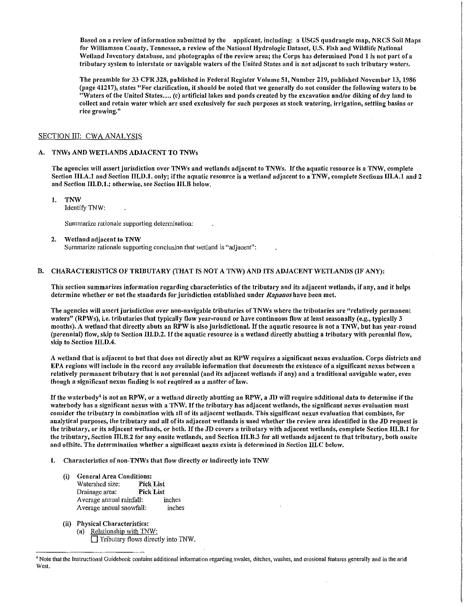Based on a review of information submitted by the applicant, including: a USGS quadrangle map, NRCS Soil Maps for Williamson County, Tennessee, a review of the National Hydrologic Dataset, U.S. Fish and Wildlife National \Vetland Inventory database, and photographs of the review area; the Corps has determined Pond 1 is not part ofa tributary system to interstate or navigable waters of the United States and is not adjacent to such tributary waters.

The preamble for 33 CFR 328, published in Federal Register Volume 51, Number 219, published November 13, 1986 (page 41217), states "For clarification, it should be noted that we generally do not consider the following waters to be "Waters of the United States .... (c) artificial lakes and ponds created by the excavation and/or diking of dry land to collect and retain water which are used exclusively for such purposes as stock watering, irrigation, settling basins or rice growing."

### SECTION III: CWA ANALYSIS

#### A. TNWs AND WETLANDS ADJACENT TO TNWs

The agencies will assert jurisdiction over TNWs and wetlands adjacent to TNWs. If the aquatic resource is a TNW, complete Section III.A.1 and Section III.D.1. only; if the aquatic resource is a wetland adjacent to a TNW, complete Sections III.A.1 and 2 and Section III.D.1.; otherwise, see Section III.B below.

1. TNW

Identify TNW:

Summarize rationale supporting determination:

#### 2. Wetland adjacent to TNW

Summarize rationale supporting conclusion that wetland is "adjacent":

### B. CHARACTERISTICS OF TRIBUTARY (THAT IS NOT A TNW) AND ITS ADJACENT WETLANDS (IF ANY):

This section summarizes information regarding characteristics of the tributary and its adjacent \Vetlands, if any, and it helps determine whether or not the standards for jurisdiction established under *Rapanos* have been met.

The agencies will assert jurisdiction over non-navigable tributaries of TNWs where the tributaries are "relatively permanent waters" (RPWs), i.e. tributaries that typically flow year-round or have continuous flow at least seasonally (e.g., typically 3 months). A wetland that directly abuts an RPW is also jurisdictional. If the aquatic resource is not a TNW, but has year-round (perennial) flow, skip to Section III.D.2. If the aquatic resource is a wetland directly abutting a tributary with perennial flow, skip to Section III.D.4.

A wetland that is adjacent to but that does not directly abut an RPW requires a significant nexus evaluation. Corps districts and EPA regions will include in the record any available information that documents the existence of a significant nexus between a relatively permanent tributary that is not perennial (and its adjacent wetlands if any) and a traditional navigable water, even though a significant nexus finding is not required as a matter of la\v.

If the waterbody<sup>4</sup> is not an RPW, or a wetland directly abutting an RPW, a JD will require additional data to determine if the waterbody has a significant nexus with a TNW. If the tributary has adjacent wetlands, the significant nexus evaluation must consider the tributary in combination with all of its adjacent wetlands. This significant nexus evaluation that combines, for analytical purposes, the tributary and all of its adjacent wetlands is used whether the review area identified in the JD request is the tributary, or its adjacent wetlands, or both. If the JD covers a tributary with adjacent wetlands, complete Section III.B.1 for the tributary, Section III.B.2 for any onsite wetlands, and Section III.B.3 for all wetlands adjacent to that tributary, both onsite and offsite. The determination whether a significant nexus exists is determined in Section III.C below.

#### 1. Characteristics of non-TNWs that flow directly or indirectly into TNW

- (i) General Area Conditions: Watershed size: Pick List Drainage area: Pick List Average annual rainfall: inches Average annual snowfall: inches
- (ii) Physical Characteristics: (a) Relationship with TNW:  $\Box$  Tributary flows directly into TNW.

<sup>~</sup>Note that the Instructional Guidebook contains additional infonnation regarding swales, ditches, washes, and erosional features generally and in the arid West.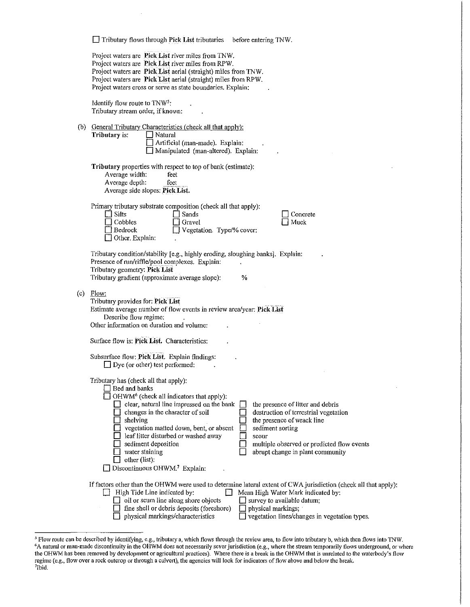| $\Box$ Tributary flows through Pick List tributaries<br>before entering TNW.                                                                                                                                                                                                                                                                                                                                                                                                                                                                                                                                                |
|-----------------------------------------------------------------------------------------------------------------------------------------------------------------------------------------------------------------------------------------------------------------------------------------------------------------------------------------------------------------------------------------------------------------------------------------------------------------------------------------------------------------------------------------------------------------------------------------------------------------------------|
| Project waters are Pick List river miles from TNW.<br>Project waters are Pick List river miles from RPW.<br>Project waters are Pick List aerial (straight) miles from TNW.<br>Project waters are Pick List aerial (straight) miles from RPW.<br>Project waters cross or serve as state boundaries. Explain:                                                                                                                                                                                                                                                                                                                 |
| Identify flow route to TNW <sup>5</sup> :<br>Tributary stream order, if known:                                                                                                                                                                                                                                                                                                                                                                                                                                                                                                                                              |
| (b) General Tributary Characteristics (check all that apply):<br>Tributary is:<br>Natural<br>Artificial (man-made). Explain:<br>Manipulated (man-altered). Explain:                                                                                                                                                                                                                                                                                                                                                                                                                                                         |
| Tributary properties with respect to top of bank (estimate):<br>Average width:<br>feet<br>Average depth:<br>feet<br>Average side slopes: Pick List.                                                                                                                                                                                                                                                                                                                                                                                                                                                                         |
| Primary tributary substrate composition (check all that apply):<br>Silts<br>Sands<br>Concrete<br>Cobbles<br>Muck<br>Gravel<br>Vegetation. Type/% cover:<br>Bedrock<br>Other. Explain:                                                                                                                                                                                                                                                                                                                                                                                                                                       |
| Tributary condition/stability [e.g., highly eroding, sloughing banks]. Explain:<br>Presence of run/riffle/pool complexes. Explain:<br>Tributary geometry: Pick List<br>Tributary gradient (approximate average slope):<br>℅                                                                                                                                                                                                                                                                                                                                                                                                 |
| $(c)$ Flow:<br>Tributary provides for: Pick List<br>Estimate average number of flow events in review area/year: Pick List<br>Describe flow regime:<br>Other information on duration and volume:                                                                                                                                                                                                                                                                                                                                                                                                                             |
| Surface flow is: Pick List. Characteristics:                                                                                                                                                                                                                                                                                                                                                                                                                                                                                                                                                                                |
| Subsurface flow: Pick List. Explain findings:<br>$\Box$ Dye (or other) test performed:                                                                                                                                                                                                                                                                                                                                                                                                                                                                                                                                      |
| Tributary has (check all that apply):<br>Bed and banks<br>$\Box$ OHWM <sup>6</sup> (check all indicators that apply):<br>clear, natural line impressed on the bank<br>the presence of litter and debris<br>changes in the character of soil<br>destruction of terrestrial vegetation<br>shelving<br>the presence of wrack line<br>vegetation matted down, bent, or absent<br>sediment sorting<br>leaf litter disturbed or washed away<br>scour<br>multiple observed or predicted flow events<br>sediment deposition<br>water staining<br>abrupt change in plant community<br>other (list):<br>Discontinuous OHWM.7 Explain: |
| If factors other than the OHWM were used to determine lateral extent of CWA jurisdiction (check all that apply):<br>High Tide Line indicated by:<br>Mean High Water Mark indicated by:<br>oil or scum line along shore objects<br>$\Box$ survey to available datum;<br>fine shell or debris deposits (foreshore)<br>physical markings;<br>physical markings/characteristics<br>vegetation lines/changes in vegetation types.                                                                                                                                                                                                |

 $\ddot{\phantom{a}}$ 

<sup>&</sup>lt;sup>5</sup> Flow route can be described by identifying, e.g., tributary a, which flows through the review area, to flow into tributary b, which then flows into TNW.<br><sup>6</sup>A natural or man-made discontinuity in the OHWM does not neces the OHWM has been removed by development or agricultural practices). Where there is a break in the OHWM that is unrelated to the waterbody's flow regime (e.g., flow over a rock outcrop or through a culvert), the agencies will look for indicators of flow above and below the break.<br><sup>7</sup>Ibid.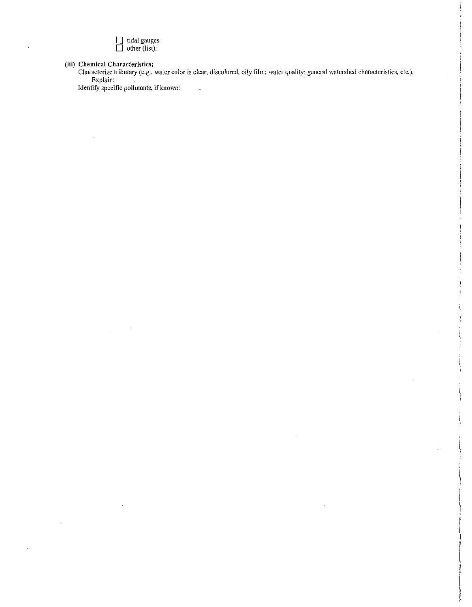

**(iii) Chemical Characteristics:** 

 $\mathcal{A}^{\pm}$ 

 $\overline{ }$ 

Characterize tributary (e.g., water color is clear, discolored, oily film; water quality; general watershed characteristics, etc.). Explain:

 $\bar{z}$ 

 $\sim$   $\sim$ 

Identify specific pollutants, if known: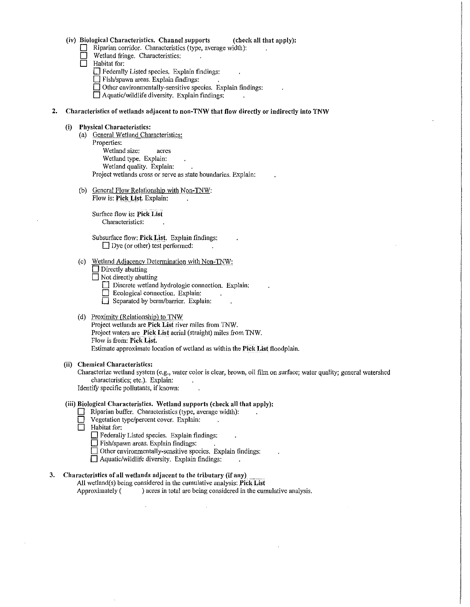# (iv) Biological Characteristics. Channel supports (check all that apply):

- Riparian corridor. Characteristics (type, average width):
- $\Box$  Wetland fringe. Characteristics:<br> $\Box$  Habitat for:
- Habitat for:

D Federally Listed species. Explain findings:

 $\Box$  Fish/spawn areas. Explain findings:

D Other environmentally-sensitive species. Explain findings:

 $\Box$  Aquatic/wildlife diversity. Explain findings:

### 2. Characteristics of wetlands adjacent to non-TNW that flow directly or indirectly into TNW

# (i) Physical Characteristics:

- (a) General Wetland Characteristics: Properties: Wetland size: acres Wetland type. Explain: Wetland quality. Explain: Project wetlands cross or serve as state boundaries. Explain:
- (b) General Flow Relationship with Non-TNW: Flow is: Pick List. Explain:

Surface flow is: Pick List Characteristics:

Subsurface flow: Pick List. Explain findings:  $\Box$  Dye (or other) test performed:  $\sim$ 

### (c) Wetland Adjacency Determination with Non-TNW:

 $\square$  Directly abutting

 $\Box$  Not directly abutting

- $\Box$  Discrete wetland hydrologic connection. Explain:
- D Ecological connection, Explain:
- $\Box$  Separated by berm/barrier. Explain:

# (d) Proximitv (Relationship) to TNW

Project wetlands are Pick List river miles from TNW. Project waters are Pick List aerial (straight) miles from TNW. Flow is from: Pick List. Estimate approximate location of wetland as within the Pick List floodplain.

#### (ii) Chemical Characteristics:

Characterize wetland system (e.g., water color is clear, brown, oil film on surface; water quality; general watershed characteristics; etc.). Explain: Identify specific pollutants, if known:

#### (iii) Biological Characteristics. Wetland supports (check all that appJy):

- D Riparian buffer. Characteristics (type, average width):<br>
Use Vegetation type/percent cover. Explain:
- $\Box$  Vegetation type/percent cover. Explain:<br> $\Box$  Habitat for:
- Habitat for:
	- $\Box$  Federally Listed species. Explain findings:
	- $\Box$  Fish/spawn areas. Explain findings:

Other environmentally-sensitive species. Explain findings:

 $\Box$  Aquatic/wildlife diversity. Explain findings:

# 3. Characteristics of all wetlands adjacent to the tributary (if any)

All wetland(s) being considered in the cumulative analysis: Pick List Approximately ( ) acres in total are being considered in the cumulative analysis.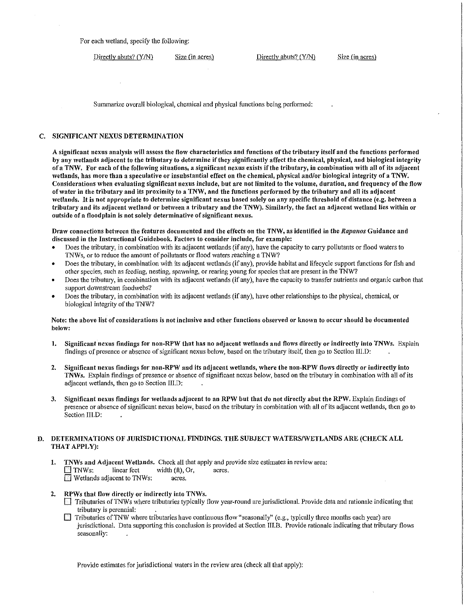For each wetland, specify the following:

Directly abuts?  $(Y/N)$  Size (in acres) Directly abuts?  $(Y/N)$  Size (in acres)

Summarize overall biological, chemical and physical functions being performed:

### C. SIGNIFICANT NEXUS DETERMINATION

A significant nexus analysis will assess the flow characteristics and functions of the tributary itself and the functions performed by any \Vetlands adjacent to the tributary to determine if they significantly affect the chemical, physical, and biological integrity of a TNW. For each of the following situations, a significant nexus exists if the tributary, in combination with all of its adjacent \Vetlands, has more than a speculative or insubstantial effect on the chemical, physical and/or biological integrity of a TNW. Considerations when evaluating significant nexus include, but are not limited to the volume, duration, and frequency of the flow of water in the tributary and its proximity to a TNW, and the functions performed by the tributary and all its adjacent wetlands. It is not appropriate to determine significant nexus based solely on any specific threshold of distance (e.g. between a tributary and its adjacent wetland or between a tributary and the TNW). Similarly, the fact an adjacent wetland lies within or outside of a floodplain is not solely determinative of significant nexus.

Draw connections between the features documented and the effects on the TNW, as identified in the *Rapanos* Guidance and discussed in the Instructional Guidebook. Factors to consider include, for example:

- Does the tributary, in combination with its adjacent wetlands (if any), have the capacity to carry pollutants or flood waters to 1NWs, or to reduce the amount of pollutants or flood waters reaching a 'fNW?
- Does the tributary, in combination with its adjacent wetlands (if any), provide habitat and lifecycle support functions for fish and other species, such as feeding, nesting, spayning, or rearing young for species that are present in the TNW?
- Does the tributary, in combination with its adjacent wetlands (if any), have the capacity to transfer nutrients and organic carbon that support downstream foodwebs?
- Does the tributary, in combination with its adjacent wetlands (if any), have other relationships to the physical, chemical, or biological integrity of the TNW?

### Note: the above list of considerations is not inclusive and other functions observed or known to occur should be documented below:

- 1. Significant nexus findings for non-RPW that has no adjacent wetlands and flows directly or indirectly into TNWs. Explain findings of presence or absence of significant nexus belo\v, based on the tributary itself, then go to Section III.D:
- 2. Significant nexus findings for non-RPW and its adjacent wetlands, where the non-RPW flows directly or indirectly into TNWs. Explain findings of presence or absence of significant nexus below, based on the tributary in combination \vith all of its adjacent wetlands, then go to Section III.D:
- 3. Significant nexus findings for wetlands adjacent to an RPW but that do not directly abut the RPW. Explain findings of presence or absence of significant nexus below, based on the tributary in combination \Vith all of its adjacent wetlands, then go to Section IILD:

# D. DETERMINATIONS OF JURISDICTIONAL FINDINGS. THE SUBJECT WATERS/WETLANDS ARE (CHECK ALL THAT APPLY):

- 1. TNWs and Adjacent Wetlands. Check all that apply and provide size estimates in review area:  $\Box$  TNWs: linear feet width  $(\hat{\pi})$ , Or, acres.  $\Box$  Wetlands adjacent to TNWs: acres.
- 2. RPWs that flow directly or indirectly into TNWs.
	- **1** Tributaries of TNWs where tributaries typically flow year-round are jurisdictional. Provide data and rationale indicating that tributary is perennial:
	- $\Box$  Tributaries of TNW where tributaries have continuous flow "seasonally" (e.g., typically three months each year) are jurisdictional. Data supporting this conclusion is provided at Section IILB. Provide rationale indicating that tributary flows seasonally:

Provide estimates for jurisdictional waters in the review area (check all that apply):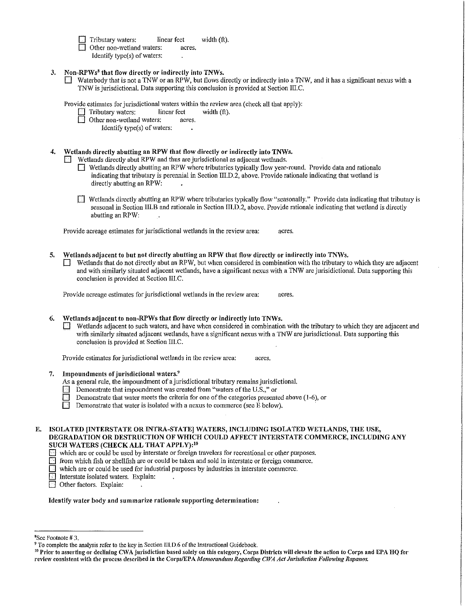$\Box$  Tributary waters: linear feet width (ft). Other non-wetland waters: Identify typc(s) of waters:

# 3. Non-RPWs<sup>8</sup> that flow directly or indirectly into TNWs.

 $\Box$  Waterbody that is not a TNW or an RPW, but flows directly or indirectly into a TNW, and it has a significant nexus with a TNW is jurisdictional. Data supporting this conclusion is provided at Section III.C.

Provide estimates for jurisdictional waters within the review area (check all that apply):<br>
Fil Tributary waters: linear feet width (ft).

 $\Box$  Tributary waters: linear feet linear feet  $\Box$  Other non-wetland waters: acres

Other non-wetland waters:

Identify type(s) of waters:

## 4. Wetlands directly abutting an RPW that flow directly or indirectly into TNWs.

- Wetlands directly abut RPW and thus are jurisdictional as adjacent wetlands.
	- $\Box$  Wetlands directly abutting an RPW where tributaries typically flow year-round. Provide data and rationale indicating that tributary is perennial in Section III.D.2, above. Provide rationale indicating that wetland is directly abutting an RPW:
	- $\Box$  Wetlands directly abutting an RPW where tributaries typically flow "seasonally." Provide data indicating that tributary is seasonal in Section III.B and rationale in Section III.D.2, above. Provide rationale indicating that wetland is directly abutting an RPW:

Provide acreage estimates for jurisdictional wetlands in the review area: acres,

5. Wetlands adjacent to but not directly abutting an RPW that flow directly or indirectly into TNWs.  $\Box$  Wetlands that do not directly abut an RPW, but when considered in combination with the tributary to which they are adjacent

and with similarly situated adjacent wetlands, have a significant nexus with a TNW are jurisidictional. Data supporting this conclusion is provided at Section III.C.

Provide acreage estimates for jurisdictional wetlands in the review area: acres.

6. Wetlands adjacent to non-RPWs that flow directly or indirectly into TNWs.

Wetlands adjacent to such waters, and have when considered in combination with the tributary to which they are adjacent and with similarly situated adjacent wetlands, have a significant nexus with a TNW are jurisdictional. Data supporting this conclusion is provided at Section III.C.

Provide estimates for jurisdictional wetlands in the review area: acres.

7. Impoundments of jurisdictional waters. $9$ 

*As* a general rule, the impoundment of a jurisdictional tributary remains jurisdictional.

- $\Box$  Demonstrate that impoundment was created from "waters of the U.S.," or
- Demonstrate that water meets the criteria for one of the categories presented above (1-6), or

Demonstrate that water is isolated with a nexus to commerce (see  $\overline{E}$  below).

# E. ISOLATED [INTERSTATE OR INTRA-STATE] WATERS, INCLUDING ISOLATED WETLANDS, THE USE, DEGRADATION OR DESTRUCTION OF WIITCH COULD AFFECT INTERSTATE COMMERCE, INCLUDING ANY SUCH WATERS (CHECK ALL THAT APPLY):<sup>10</sup>

 $\Box$  which are or could be used by interstate or foreign travelers for recreational or other purposes.

from which fish or shellfish are or could be taken and sold in interstate or foreign commerce.

which are or could be used for industrial purposes by industries in interstate commerce.

Interstate isolated waters. Explain:

 $\Box$  Other factors. Explain:

Identify water body and summarize rationale supporting determination:

<sup>&</sup>lt;sup>8</sup>See Footnote #3.

<sup>&</sup>lt;sup>9</sup> To complete the analysis refer to the key in Section III.D.6 of the Instructional Guidebook.<br><sup>10</sup> Prior to asserting or declining CWA jurisdiction based solely on this category, Corps Districts will elevate the action review consistent with the process described in the Corps/EPA Memorandum Regarding CWA Act Jurisdiction Following Rapanos.